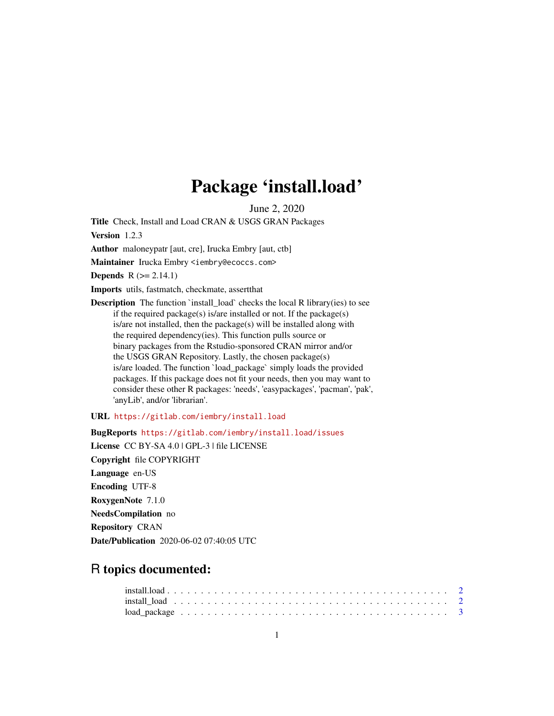# Package 'install.load'

June 2, 2020

<span id="page-0-0"></span>Title Check, Install and Load CRAN & USGS GRAN Packages

Version 1.2.3

Author maloneypatr [aut, cre], Irucka Embry [aut, ctb]

Maintainer Irucka Embry <iembry@ecoccs.com>

**Depends**  $R$  ( $>= 2.14.1$ )

Imports utils, fastmatch, checkmate, assertthat

**Description** The function `install\_load` checks the local R library(ies) to see if the required package(s) is/are installed or not. If the package(s) is/are not installed, then the package(s) will be installed along with the required dependency(ies). This function pulls source or binary packages from the Rstudio-sponsored CRAN mirror and/or the USGS GRAN Repository. Lastly, the chosen package(s) is/are loaded. The function `load\_package` simply loads the provided packages. If this package does not fit your needs, then you may want to consider these other R packages: 'needs', 'easypackages', 'pacman', 'pak', 'anyLib', and/or 'librarian'.

URL <https://gitlab.com/iembry/install.load>

BugReports <https://gitlab.com/iembry/install.load/issues>

License CC BY-SA 4.0 | GPL-3 | file LICENSE Copyright file COPYRIGHT Language en-US Encoding UTF-8 RoxygenNote 7.1.0 NeedsCompilation no Repository CRAN Date/Publication 2020-06-02 07:40:05 UTC

# R topics documented: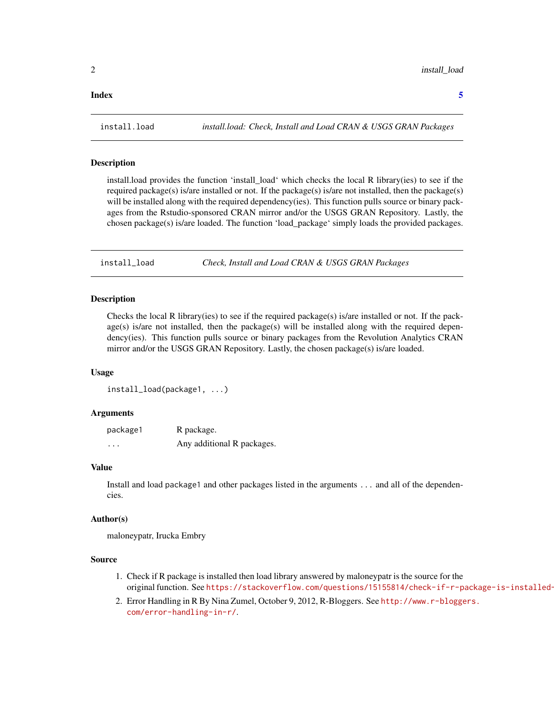#### <span id="page-1-0"></span>**Index** [5](#page-4-0). The second state of the second state of the second state of the second state of the second state of the second state of the second state of the second state of the second state of the second state of the second

# Description

install.load provides the function 'install\_load' which checks the local R library(ies) to see if the required package(s) is/are installed or not. If the package(s) is/are not installed, then the package(s) will be installed along with the required dependency(ies). This function pulls source or binary packages from the Rstudio-sponsored CRAN mirror and/or the USGS GRAN Repository. Lastly, the chosen package(s) is/are loaded. The function 'load\_package' simply loads the provided packages.

<span id="page-1-1"></span>install\_load *Check, Install and Load CRAN & USGS GRAN Packages*

#### Description

Checks the local R library(ies) to see if the required package(s) is/are installed or not. If the pack $age(s)$  is/are not installed, then the package $(s)$  will be installed along with the required dependency(ies). This function pulls source or binary packages from the Revolution Analytics CRAN mirror and/or the USGS GRAN Repository. Lastly, the chosen package(s) is/are loaded.

#### Usage

install\_load(package1, ...)

## Arguments

| package1 | R package.                 |
|----------|----------------------------|
| $\cdots$ | Any additional R packages. |

## Value

Install and load package1 and other packages listed in the arguments ... and all of the dependencies.

#### Author(s)

maloneypatr, Irucka Embry

#### Source

- 1. Check if R package is installed then load library answered by maloneypatr is the source for the original function. See https://stackoverflow.com/questions/15155814/check-if-r-package-is-installed-
- 2. Error Handling in R By Nina Zumel, October 9, 2012, R-Bloggers. See [http://www.r-blogge](http://www.r-bloggers.com/error-handling-in-r/)rs. [com/error-handling-in-r/](http://www.r-bloggers.com/error-handling-in-r/).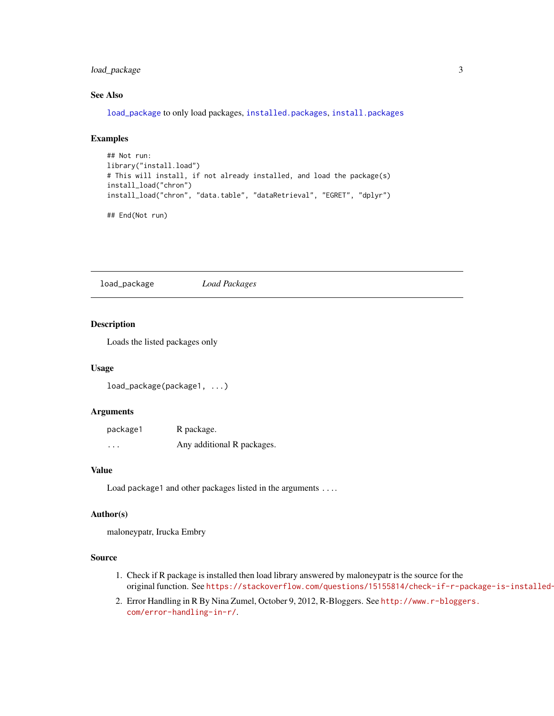# <span id="page-2-0"></span>load\_package 3

# See Also

[load\\_package](#page-2-1) to only load packages, [installed.packages](#page-0-0), [install.packages](#page-0-0)

# Examples

```
## Not run:
library("install.load")
# This will install, if not already installed, and load the package(s)
install_load("chron")
install_load("chron", "data.table", "dataRetrieval", "EGRET", "dplyr")
## End(Not run)
```
<span id="page-2-1"></span>load\_package *Load Packages*

#### Description

Loads the listed packages only

# Usage

load\_package(package1, ...)

## Arguments

| package1 | R package.                 |
|----------|----------------------------|
| $\cdots$ | Any additional R packages. |

#### Value

Load package1 and other packages listed in the arguments ....

#### Author(s)

maloneypatr, Irucka Embry

# Source

- 1. Check if R package is installed then load library answered by maloneypatr is the source for the original function. See https://stackoverflow.com/questions/15155814/check-if-r-package-is-installed-
- 2. Error Handling in R By Nina Zumel, October 9, 2012, R-Bloggers. See [http://www.r-blogge](http://www.r-bloggers.com/error-handling-in-r/)rs. [com/error-handling-in-r/](http://www.r-bloggers.com/error-handling-in-r/).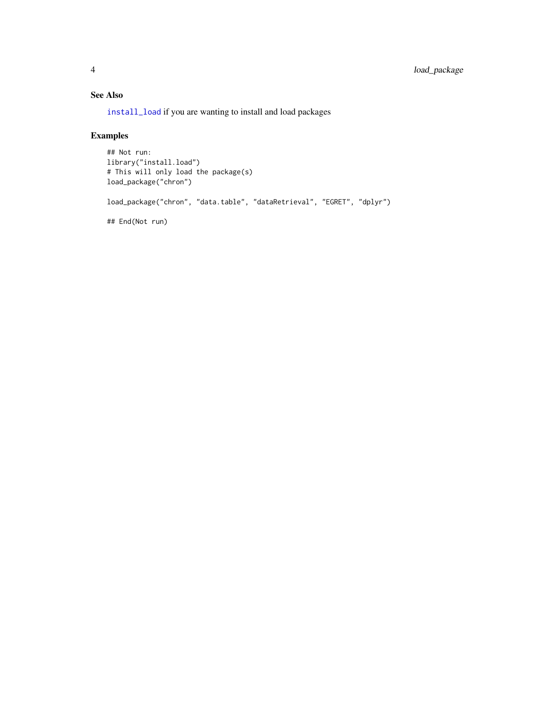# See Also

[install\\_load](#page-1-1) if you are wanting to install and load packages

# Examples

```
## Not run:
library("install.load")
# This will only load the package(s)
load_package("chron")
load_package("chron", "data.table", "dataRetrieval", "EGRET", "dplyr")
## End(Not run)
```
<span id="page-3-0"></span>